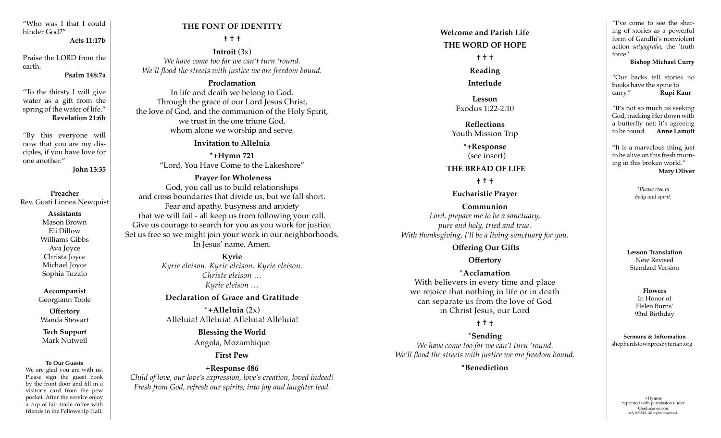"Who was I that I could hinder God?" **Acts 11:17b**

Praise the LORD from the earth.

**Psalm 148:7a**

"To the thirsty I will give water as a gift from the spring of the water of life." **Revelation 21:6b**

"By this everyone will now that you are my disciples, if you have love for one another."

**John 13:35**

**Preacher** Rev. Gusti Linnea Newquist

> **Assistants** Mason Brown Eli Dillow Williams Gibbs Ava Joyce Christa Joyce Michael Joyce Sophia Tuzzio

**Accompanist** Georgiann Toole

**Offertory** Wanda Stewart

**Tech Support** Mark Nutwell

**To Our Guests** We are glad you are with us. Please sign the guest book by the front door and fill in a visitor's card from the pew pocket. After the service enjoy a cup of fair trade coffee with friends in the Fellowship Hall.

# **THE FONT OF IDENTITY**

## **† † †**

**Introit** (3x) *We have come too far we can't turn 'round. We'll flood the streets with justice we are freedom bound.*

## **Proclamation**

In life and death we belong to God. Through the grace of our Lord Jesus Christ, the love of God, and the communion of the Holy Spirit, we trust in the one triune God, whom alone we worship and serve.

**Invitation to Alleluia**

**\*+Hymn 721** "Lord, You Have Come to the Lakeshore"

**Prayer for Wholeness**  God, you call us to build relationships and cross boundaries that divide us, but we fall short. Fear and apathy, busyness and anxiety that we will fail - all keep us from following your call. Give us courage to search for you as you work for justice. Set us free so we might join your work in our neighborhoods. In Jesus' name, Amen.

> **Kyrie** *Kyrie eleison. Kyrie eleison. Kyrie eleison. Christe eleison … Kyrie eleison …*

#### **Declaration of Grace and Gratitude**

**\*+Alleluia** (2x) Alleluia! Alleluia! Alleluia! Alleluia!

> **Blessing the World** Angola, Mozambique

> > **First Pew**

# **+Response 486**

*Child of love, our love's expression, love's creation, loved indeed! Fresh from God, refresh our spirits; into joy and laughter lead.*

**Welcome and Parish Life THE WORD OF HOPE † † † Reading**

**Interlude**

**Lesson** Exodus 1:22-2:10

**Reflections** Youth Mission Trip

# **\*+Response**  (see insert)

### **THE BREAD OF LIFE**

**† † †**

## **Eucharistic Prayer**

**Communion**  *Lord, prepare me to be a sanctuary, pure and holy, tried and true. With thanksgiving, I'll be a living sanctuary for you.*

 **Offering Our Gifts**

**Offertory**

**\*Acclamation** With believers in every time and place we rejoice that nothing in life or in death can separate us from the love of God in Christ Jesus, our Lord

# **† † †**

**\*Sending**  *We have come too far we can't turn 'round. We'll flood the streets with justice we are freedom bound.*

**\*Benediction**

"I've come to see the sharing of stories as a powerful form of Gandhi's nonviolent action *satyagraha*, the 'truth force.'

**Bishop Michael Curry** 

"Our backs tell stories no books have the spine to<br>carry." Rupi K carry." **Rupi Kaur**

"It's not so much us seeking God, tracking Her down with a butterfly net; it's agreeing to be found. **Anne Lamott**

"It is a marvelous thing just to be alive on this fresh morning in this broken world."  **Mary Oliver**

> *\*Please rise in body and spirit.*

**Lesson Translation** New Revised Standard Version

> **Flowers** In Honor of Helen Burns' 93rd Birthday

**Sermons & Information** shepherdstownpresbyterian.org

> +**Hymns** reprinted with permission under OneLicense.com #A-007343. All rights reserved.